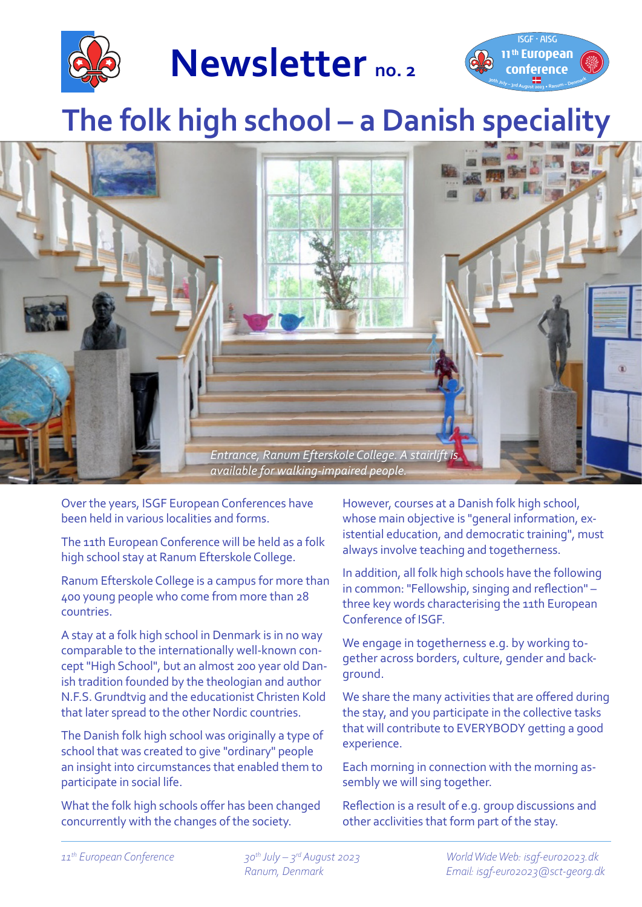

**Newsletter no. 2**



# **The folk high school – a Danish speciality**



Over the years, ISGF European Conferences have been held in various localities and forms.

The 11th European Conference will be held as a folk high school stay at Ranum Efterskole College.

Ranum Efterskole College is a campus for more than 400 young people who come from more than 28 countries.

A stay at a folk high school in Denmark is in no way comparable to the internationally well-known concept "High School", but an almost 200 year old Danish tradition founded by the theologian and author N.F.S. Grundtvig and the educationist Christen Kold that later spread to the other Nordic countries.

The Danish folk high school was originally a type of school that was created to give "ordinary" people an insight into circumstances that enabled them to participate in social life.

What the folk high schools offer has been changed concurrently with the changes of the society.

However, courses at a Danish folk high school, whose main objective is "general information, existential education, and democratic training", must always involve teaching and togetherness.

In addition, all folk high schools have the following in common: "Fellowship, singing and reflection" – three key words characterising the 11th European Conference of ISGF.

We engage in togetherness e.g. by working together across borders, culture, gender and background.

We share the many activities that are offered during the stay, and you participate in the collective tasks that will contribute to EVERYBODY getting a good experience.

Each morning in connection with the morning assembly we will sing together.

Reflection is a result of e.g. group discussions and other acclivities that form part of the stay.